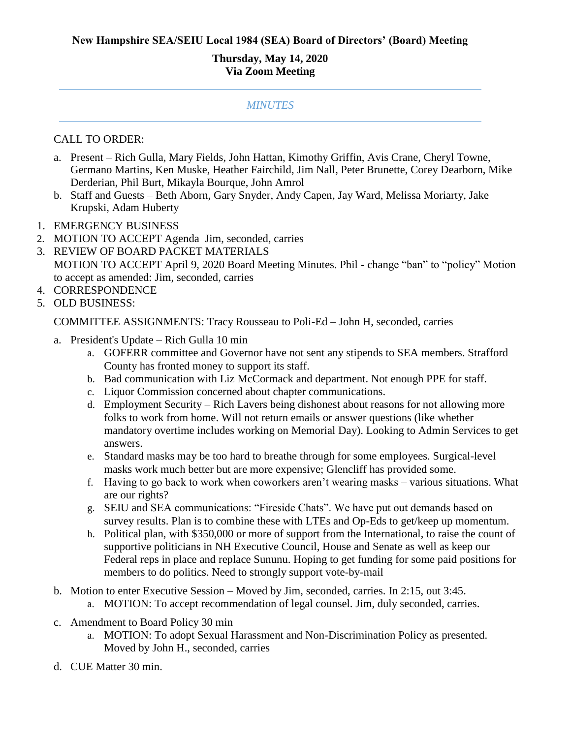## **Thursday, May 14, 2020 Via Zoom Meeting**

## *MINUTES*

## CALL TO ORDER:

- a. Present Rich Gulla, Mary Fields, John Hattan, Kimothy Griffin, Avis Crane, Cheryl Towne, Germano Martins, Ken Muske, Heather Fairchild, Jim Nall, Peter Brunette, Corey Dearborn, Mike Derderian, Phil Burt, Mikayla Bourque, John Amrol
- b. Staff and Guests Beth Aborn, Gary Snyder, Andy Capen, Jay Ward, Melissa Moriarty, Jake Krupski, Adam Huberty
- 1. EMERGENCY BUSINESS
- 2. MOTION TO ACCEPT Agenda Jim, seconded, carries
- 3. REVIEW OF BOARD PACKET MATERIALS MOTION TO ACCEPT April 9, 2020 Board Meeting Minutes. Phil - change "ban" to "policy" Motion to accept as amended: Jim, seconded, carries
- 4. CORRESPONDENCE
- 5. OLD BUSINESS:

COMMITTEE ASSIGNMENTS: Tracy Rousseau to Poli-Ed – John H, seconded, carries

- a. President's Update Rich Gulla 10 min
	- a. GOFERR committee and Governor have not sent any stipends to SEA members. Strafford County has fronted money to support its staff.
	- b. Bad communication with Liz McCormack and department. Not enough PPE for staff.
	- c. Liquor Commission concerned about chapter communications.
	- d. Employment Security Rich Lavers being dishonest about reasons for not allowing more folks to work from home. Will not return emails or answer questions (like whether mandatory overtime includes working on Memorial Day). Looking to Admin Services to get answers.
	- e. Standard masks may be too hard to breathe through for some employees. Surgical-level masks work much better but are more expensive; Glencliff has provided some.
	- f. Having to go back to work when coworkers aren't wearing masks various situations. What are our rights?
	- g. SEIU and SEA communications: "Fireside Chats". We have put out demands based on survey results. Plan is to combine these with LTEs and Op-Eds to get/keep up momentum.
	- h. Political plan, with \$350,000 or more of support from the International, to raise the count of supportive politicians in NH Executive Council, House and Senate as well as keep our Federal reps in place and replace Sununu. Hoping to get funding for some paid positions for members to do politics. Need to strongly support vote-by-mail
- b. Motion to enter Executive Session Moved by Jim, seconded, carries. In 2:15, out 3:45.
	- a. MOTION: To accept recommendation of legal counsel. Jim, duly seconded, carries.
- c. Amendment to Board Policy 30 min
	- a. MOTION: To adopt Sexual Harassment and Non-Discrimination Policy as presented. Moved by John H., seconded, carries
- d. CUE Matter 30 min.